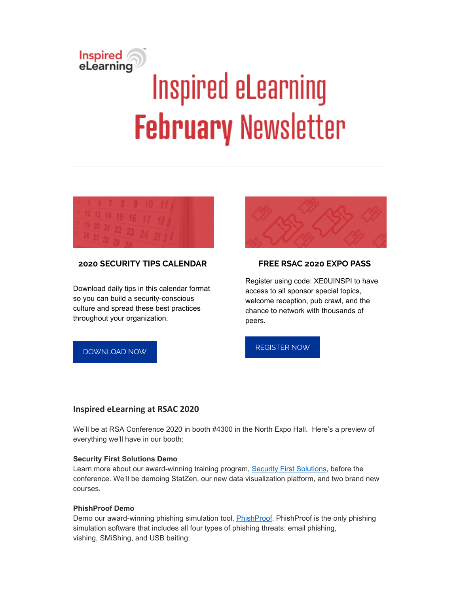# Inspired<br>eLearning **Inspired eLearning February Newsletter**



# **2020 SECURITY TIPS CALENDAR**

Download daily tips in this calendar format so you can build a security-conscious culture and spread these best practices throughout your organization.



## **FREE RSAC 2020 EXPO PASS**

Register using code: XE0UINSPI to have access to all sponsor special topics, welcome reception, pub crawl, and the chance to network with thousands of peers.

# [DOWNLOAD](https://inspiredelearning.com/resource/2020-security-awareness-tips-calendar/?utm_source=Marketo&utm_medium=Newsletter) NOW

## [REGISTER](https://ae.rsaconference.com/US20/portal/newreg.ww?gaclid=602107750.1580314828&recipientID=undefined) NOW

#### **Inspired eLearning at RSAC 2020**

We'll be at RSA Conference 2020 in booth #4300 in the North Expo Hall. Here's a preview of everything we'll have in our booth:

#### **Security First Solutions Demo**

Learn more about our award-winning training program, [Security First Solutions,](https://inspiredelearning.com/security-awareness/security-first-solutions/) before the conference. We'll be demoing StatZen, our new data visualization platform, and two brand new courses.

#### **PhishProof Demo**

Demo our award-winning phishing simulation tool, **[PhishProof](https://inspiredelearning.com/security-awareness/phishproof/).** PhishProof is the only phishing simulation software that includes all four types of phishing threats: email phishing, vishing, SMiShing, and USB baiting.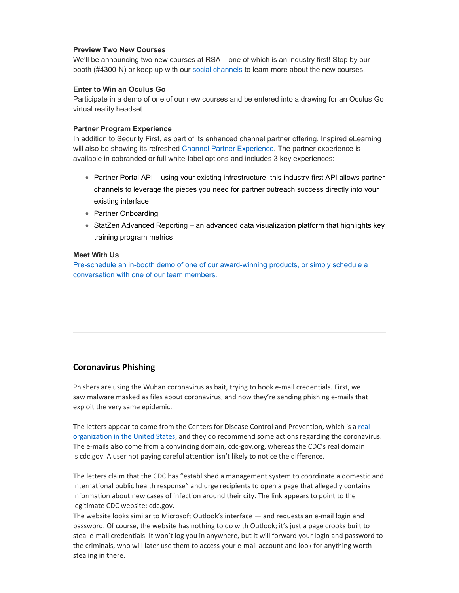#### **Preview Two New Courses**

We'll be announcing two new courses at RSA – one of which is an industry first! Stop by our booth (#4300-N) or keep up with our [social channels](https://www.linkedin.com/company/inspired-elearning-inc-/?viewAsMember=true) to learn more about the new courses.

#### **Enter to Win an Oculus Go**

Participate in a demo of one of our new courses and be entered into a drawing for an Oculus Go virtual reality headset.

#### **Partner Program Experience**

In addition to Security First, as part of its enhanced channel partner offering, Inspired eLearning will also be showing its refreshed [Channel Partner Experience](https://inspiredelearning.com/about-us/partners/). The partner experience is available in cobranded or full white-label options and includes 3 key experiences:

- Partner Portal API using your existing infrastructure, this industry-first API allows partner channels to leverage the pieces you need for partner outreach success directly into your existing interface
- Partner Onboarding
- StatZen Advanced Reporting an advanced data visualization platform that highlights key training program metrics

#### **Meet With Us**

[Pre-schedule an in-booth demo of one of our award-winning products, or simply schedule a](https://calendly.com/inspiredelearning/rsac-2020) conversation with one of our team members.

# **Coronavirus Phishing**

Phishers are using the Wuhan coronavirus as bait, trying to hook e-mail credentials. First, we saw malware masked as files about coronavirus, and now they're sending phishing e-mails that exploit the very same epidemic.

The letters appear to come from the Centers for Disease Control and [Prevention,](https://www.cdc.gov/) which is a real organization in the United States, and they do recommend some actions regarding the coronavirus. The e-mails also come from a convincing domain, cdc-gov.org, whereas the CDC's real domain is cdc.gov. A user not paying careful attention isn't likely to notice the difference.

The letters claim that the CDC has "established a management system to coordinate a domestic and international public health response" and urge recipients to open a page that allegedly contains information about new cases of infection around their city. The link appears to point to the legitimate CDC website: cdc.gov.

The website looks similar to Microsoft Outlook's interface — and requests an e-mail login and password. Of course, the website has nothing to do with Outlook; it's just a page crooks built to steal e-mail credentials. It won't log you in anywhere, but it will forward your login and password to the criminals, who will later use them to access your e-mail account and look for anything worth stealing in there.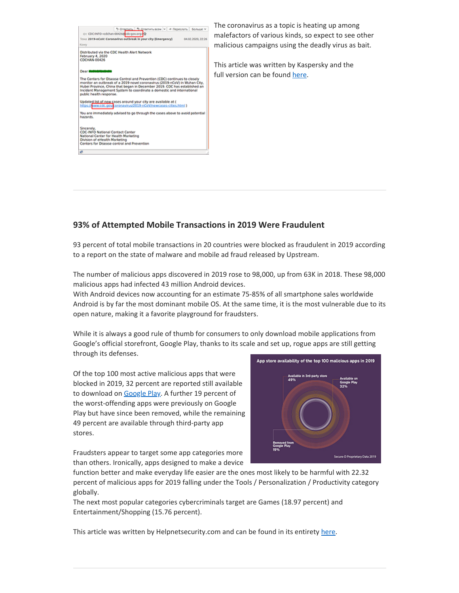

The coronavirus as a topic is heating up among malefactors of various kinds, so expect to see other malicious campaigns using the deadly virus as bait.

This article was written by Kaspersky and the full version can be found [here.](https://www.kaspersky.com/blog/coronavirus-phishing/32395/)

# **93% of Attempted Mobile Transactions in 2019 Were Fraudulent**

93 percent of total mobile transactions in 20 countries were blocked as fraudulent in 2019 according to a report on the state of malware and mobile ad fraud released by Upstream.

The number of malicious apps discovered in 2019 rose to 98,000, up from 63K in 2018. These 98,000 malicious apps had infected 43 million Android devices.

With Android devices now accounting for an estimate 75-85% of all smartphone sales worldwide Android is by far the most dominant mobile OS. At the same time, it is the most vulnerable due to its open nature, making it a favorite playground for fraudsters.

While it is always a good rule of thumb for consumers to only download mobile applications from Google's official storefront, Google Play, thanks to its scale and set up, rogue apps are still getting through its defenses.

Of the top 100 most active malicious apps that were blocked in 2019, 32 percent are reported still available to download on [Google](https://play.google.com/store?hl=en) Play. A further 19 percent of the worst-offending apps were previously on Google Play but have since been removed, while the remaining 49 percent are available through third-party app stores.



Fraudsters appear to target some app categories more than others. Ironically, apps designed to make a device

function better and make everyday life easier are the ones most likely to be harmful with 22.32 percent of malicious apps for 2019 falling under the Tools / Personalization / Productivity category globally.

The next most popular categories cybercriminals target are Games (18.97 percent) and Entertainment/Shopping (15.76 percent).

This article was written by Helpnetsecurity.com and can be found in its entirety [here.](https://www.helpnetsecurity.com/2020/01/31/fraudulent-mobile-transactions/)